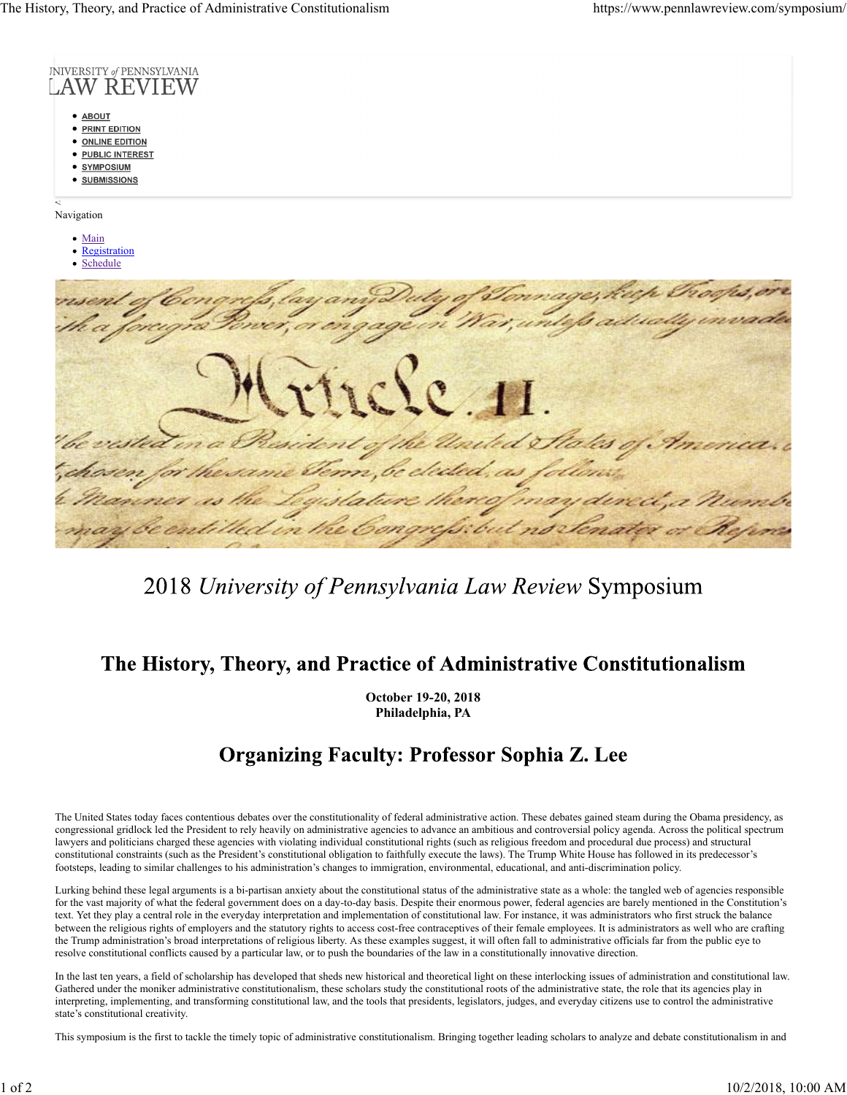

## 2018 University of Pennsylvania Law Review Symposium

## The History, Theory, and Practice of Administrative Constitutionalism

**October 19‐20, 2018 Philadelphia, PA**

## **Organizing Faculty: Professor Sophia Z. Lee**

The United States today faces contentious debates over the constitutionality of federal administrative action. These debates gained steam during the Obama presidency, as congressional gridlock led the President to rely heavily on administrative agencies to advance an ambitious and controversial policy agenda. Across the political spectrum lawyers and politicians charged these agencies with violating individual constitutional rights (such as religious freedom and procedural due process) and structural constitutional constraints (such as the President's constitutional obligation to faithfully execute the laws). The Trump White House has followed in its predecessor's footsteps, leading to similar challenges to his administration's changes to immigration, environmental, educational, and anti‐discrimination policy.

Lurking behind these legal arguments is a bi‐partisan anxiety about the constitutional status of the administrative state as a whole: the tangled web of agencies responsible for the vast majority of what the federal government does on a day-to-day basis. Despite their enormous power, federal agencies are barely mentioned in the Constitution's text. Yet they play a central role in the everyday interpretation and implementation of constitutional law. For instance, it was administrators who first struck the balance between the religious rights of employers and the statutory rights to access cost-free contraceptives of their female employees. It is administrators as well who are crafting the Trump administration's broad interpretations of religious liberty. As these examples suggest, it will often fall to administrative officials far from the public eye to resolve constitutional conflicts caused by a particular law, or to push the boundaries of the law in a constitutionally innovative direction.

In the last ten years, a field of scholarship has developed that sheds new historical and theoretical light on these interlocking issues of administration and constitutional law. Gathered under the moniker administrative constitutionalism, these scholars study the constitutional roots of the administrative state, the role that its agencies play in interpreting, implementing, and transforming constitutional law, and the tools that presidents, legislators, judges, and everyday citizens use to control the administrative state's constitutional creativity.

This symposium is the first to tackle the timely topic of administrative constitutionalism. Bringing together leading scholars to analyze and debate constitutionalism in and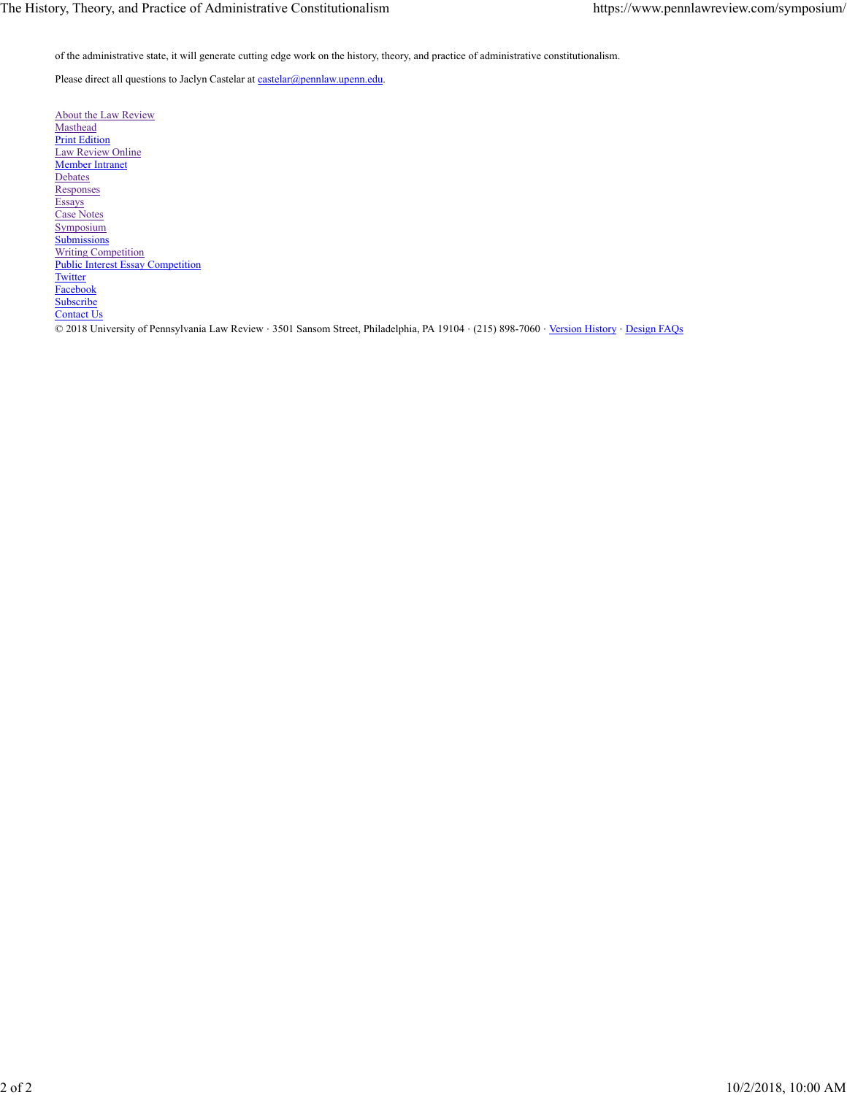of the administrative state, it will generate cutting edge work on the history, theory, and practice of administrative constitutionalism.

Please direct all questions to Jaclyn Castelar at castelar@pennlaw.upenn.edu.

About the Law Review **Masthead** Print Edition Law Review Online Member Intranet **Debates Responses** Essays Case Notes Symposium **Submissions** Writing Competition Public Interest Essay Competition **Twitter** Facebook **Subscribe** Contact Us © 2018 University of Pennsylvania Law Review ⋅ 3501 Sansom Street, Philadelphia, PA 19104 ⋅ (215) 898-7060 ⋅ Version History ⋅ Design FAQs